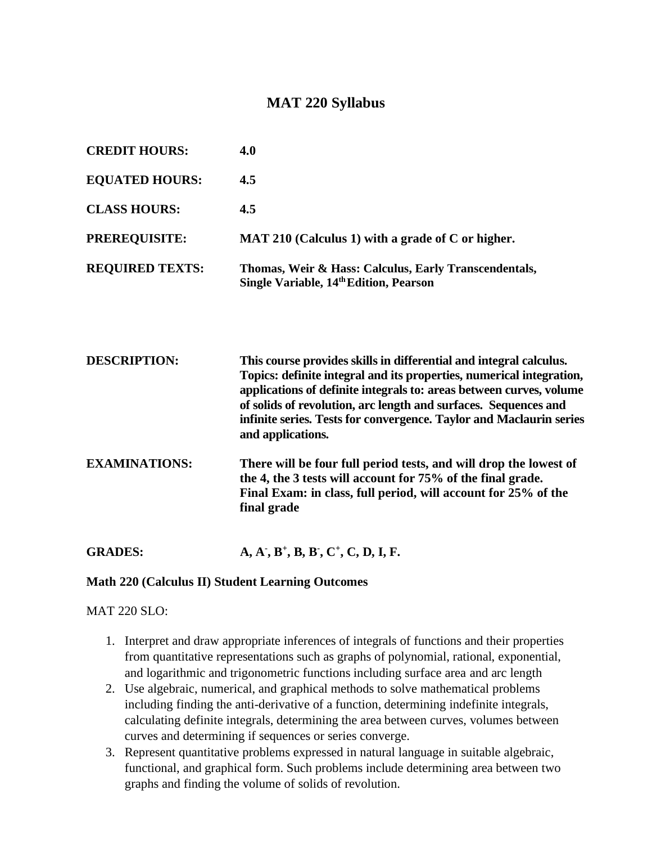# **MAT 220 Syllabus**

| <b>CREDIT HOURS:</b>   | 4.0                                                                                             |
|------------------------|-------------------------------------------------------------------------------------------------|
| <b>EQUATED HOURS:</b>  | 4.5                                                                                             |
| <b>CLASS HOURS:</b>    | 4.5                                                                                             |
| <b>PREREQUISITE:</b>   | MAT 210 (Calculus 1) with a grade of C or higher.                                               |
| <b>REQUIRED TEXTS:</b> | Thomas, Weir & Hass: Calculus, Early Transcendentals,<br>Single Variable, 14th Edition, Pearson |

| <b>DESCRIPTION:</b>  | This course provides skills in differential and integral calculus.<br>Topics: definite integral and its properties, numerical integration,<br>applications of definite integrals to: areas between curves, volume<br>of solids of revolution, arc length and surfaces. Sequences and<br>infinite series. Tests for convergence. Taylor and Maclaurin series<br>and applications. |
|----------------------|----------------------------------------------------------------------------------------------------------------------------------------------------------------------------------------------------------------------------------------------------------------------------------------------------------------------------------------------------------------------------------|
| <b>EXAMINATIONS:</b> | There will be four full period tests, and will drop the lowest of<br>the 4, the 3 tests will account for 75% of the final grade.<br>Final Exam: in class, full period, will account for 25% of the<br>final grade                                                                                                                                                                |

**GRADES: - , B + , B, B- , C + , C, D, I, F.**

#### **Math 220 (Calculus II) Student Learning Outcomes**

#### MAT 220 SLO:

- 1. Interpret and draw appropriate inferences of integrals of functions and their properties from quantitative representations such as graphs of polynomial, rational, exponential, and logarithmic and trigonometric functions including surface area and arc length
- 2. Use algebraic, numerical, and graphical methods to solve mathematical problems including finding the anti-derivative of a function, determining indefinite integrals, calculating definite integrals, determining the area between curves, volumes between curves and determining if sequences or series converge.
- 3. Represent quantitative problems expressed in natural language in suitable algebraic, functional, and graphical form. Such problems include determining area between two graphs and finding the volume of solids of revolution.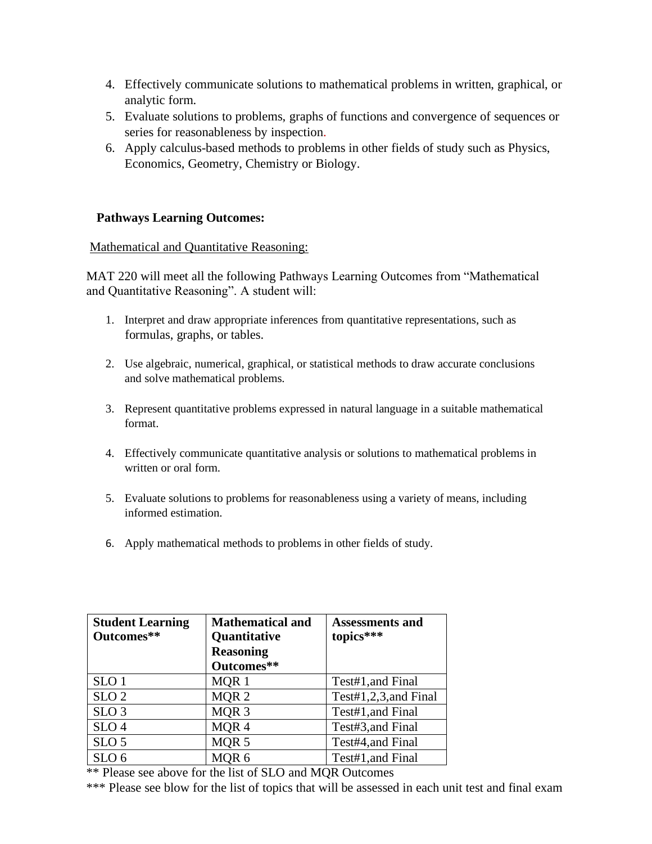- 4. Effectively communicate solutions to mathematical problems in written, graphical, or analytic form.
- 5. Evaluate solutions to problems, graphs of functions and convergence of sequences or series for reasonableness by inspection.
- 6. Apply calculus-based methods to problems in other fields of study such as Physics, Economics, Geometry, Chemistry or Biology.

## **Pathways Learning Outcomes:**

#### Mathematical and Quantitative Reasoning:

MAT 220 will meet all the following Pathways Learning Outcomes from "Mathematical and Quantitative Reasoning". A student will:

- 1. Interpret and draw appropriate inferences from quantitative representations, such as formulas, graphs, or tables.
- 2. Use algebraic, numerical, graphical, or statistical methods to draw accurate conclusions and solve mathematical problems.
- 3. Represent quantitative problems expressed in natural language in a suitable mathematical format.
- 4. Effectively communicate quantitative analysis or solutions to mathematical problems in written or oral form.
- 5. Evaluate solutions to problems for reasonableness using a variety of means, including informed estimation.
- 6. Apply mathematical methods to problems in other fields of study.

| <b>Student Learning</b> | <b>Mathematical and</b> | <b>Assessments and</b> |
|-------------------------|-------------------------|------------------------|
| Outcomes**              | Quantitative            | topics***              |
|                         | <b>Reasoning</b>        |                        |
|                         | Outcomes**              |                        |
| SLO <sub>1</sub>        | MQR 1                   | Test#1, and Final      |
| SLO <sub>2</sub>        | MQR <sub>2</sub>        | Test#1,2,3, and Final  |
| SLO <sub>3</sub>        | MQR <sub>3</sub>        | Test#1, and Final      |
| SLO <sub>4</sub>        | MQR4                    | Test#3, and Final      |
| SLO <sub>5</sub>        | MQR <sub>5</sub>        | Test#4, and Final      |
| SLO <sub>6</sub>        | MQR <sub>6</sub>        | Test#1, and Final      |

\*\* Please see above for the list of SLO and MQR Outcomes

\*\*\* Please see blow for the list of topics that will be assessed in each unit test and final exam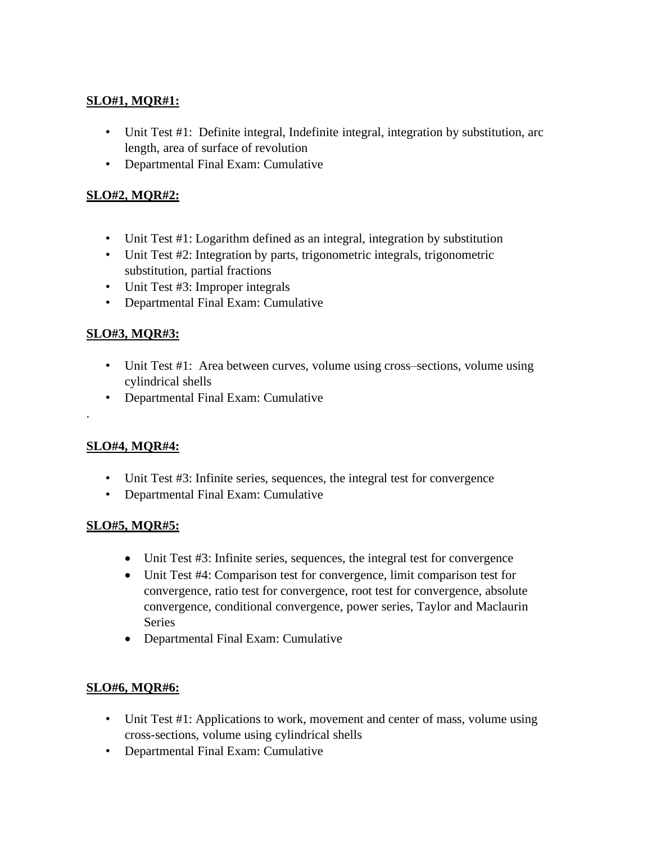# **SLO#1, MQR#1:**

- Unit Test #1: Definite integral, Indefinite integral, integration by substitution, arc length, area of surface of revolution
- Departmental Final Exam: Cumulative

# **SLO#2, MQR#2:**

- Unit Test #1: Logarithm defined as an integral, integration by substitution
- Unit Test #2: Integration by parts, trigonometric integrals, trigonometric substitution, partial fractions
- Unit Test #3: Improper integrals
- Departmental Final Exam: Cumulative

# **SLO#3, MQR#3:**

- Unit Test #1: Area between curves, volume using cross–sections, volume using cylindrical shells
- Departmental Final Exam: Cumulative

## **SLO#4, MQR#4:**

.

- Unit Test #3: Infinite series, sequences, the integral test for convergence
- Departmental Final Exam: Cumulative

## **SLO#5, MQR#5:**

- Unit Test #3: Infinite series, sequences, the integral test for convergence
- Unit Test #4: Comparison test for convergence, limit comparison test for convergence, ratio test for convergence, root test for convergence, absolute convergence, conditional convergence, power series, Taylor and Maclaurin Series
- Departmental Final Exam: Cumulative

## **SLO#6, MQR#6:**

- Unit Test #1: Applications to work, movement and center of mass, volume using cross-sections, volume using cylindrical shells
- Departmental Final Exam: Cumulative